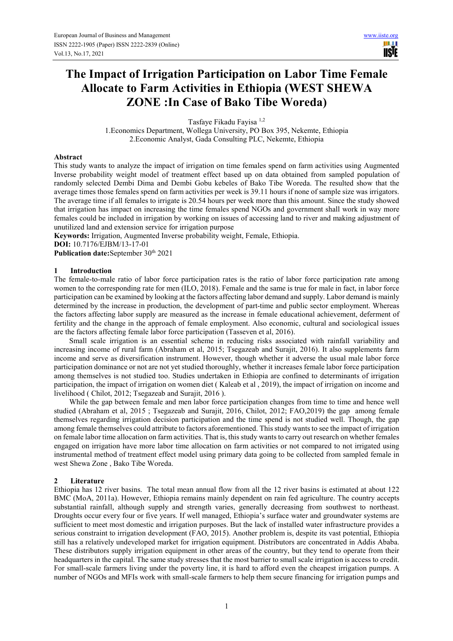III II IISIE

## **The Impact of Irrigation Participation on Labor Time Female Allocate to Farm Activities in Ethiopia (WEST SHEWA ZONE :In Case of Bako Tibe Woreda)**

Tasfaye Fikadu Fayisa 1,2

1.Economics Department, Wollega University, PO Box 395, Nekemte, Ethiopia 2.Economic Analyst, Gada Consulting PLC, Nekemte, Ethiopia

#### **Abstract**

This study wants to analyze the impact of irrigation on time females spend on farm activities using Augmented Inverse probability weight model of treatment effect based up on data obtained from sampled population of randomly selected Dembi Dima and Dembi Gobu kebeles of Bako Tibe Woreda. The resulted show that the average times those females spend on farm activities per week is 39.11 hours if none of sample size was irrigators. The average time if all females to irrigate is 20.54 hours per week more than this amount. Since the study showed that irrigation has impact on increasing the time females spend NGOs and government shall work in way more females could be included in irrigation by working on issues of accessing land to river and making adjustment of unutilized land and extension service for irrigation purpose

**Keywords:** Irrigation, Augmented Inverse probability weight, Female, Ethiopia.

**DOI:** 10.7176/EJBM/13-17-01

Publication date:September 30<sup>th</sup> 2021

#### **1 Introduction**

The female-to-male ratio of labor force participation rates is the ratio of labor force participation rate among women to the corresponding rate for men (ILO, 2018). Female and the same is true for male in fact, in labor force participation can be examined by looking at the factors affecting labor demand and supply. Labor demand is mainly determined by the increase in production, the development of part-time and public sector employment. Whereas the factors affecting labor supply are measured as the increase in female educational achievement, deferment of fertility and the change in the approach of female employment. Also economic, cultural and sociological issues are the factors affecting female labor force participation (Tasseven et al, 2016).

Small scale irrigation is an essential scheme in reducing risks associated with rainfall variability and increasing income of rural farm (Abraham et al, 2015; Tsegazeab and Surajit, 2016). It also supplements farm income and serve as diversification instrument. However, though whether it adverse the usual male labor force participation dominance or not are not yet studied thoroughly, whether it increases female labor force participation among themselves is not studied too. Studies undertaken in Ethiopia are confined to determinants of irrigation participation, the impact of irrigation on women diet ( Kaleab et al , 2019), the impact of irrigation on income and livelihood ( Chilot, 2012; Tsegazeab and Surajit, 2016 ).

While the gap between female and men labor force participation changes from time to time and hence well studied (Abraham et al, 2015 ; Tsegazeab and Surajit, 2016, Chilot, 2012; FAO,2019) the gap among female themselves regarding irrigation decision participation and the time spend is not studied well. Though, the gap among female themselves could attribute to factors aforementioned. This study wants to see the impact of irrigation on female labor time allocation on farm activities. That is, this study wants to carry out research on whether females engaged on irrigation have more labor time allocation on farm activities or not compared to not irrigated using instrumental method of treatment effect model using primary data going to be collected from sampled female in west Shewa Zone , Bako Tibe Woreda.

#### **2 Literature**

Ethiopia has 12 river basins. The total mean annual flow from all the 12 river basins is estimated at about 122 BMC (MoA, 2011a). However, Ethiopia remains mainly dependent on rain fed agriculture. The country accepts substantial rainfall, although supply and strength varies, generally decreasing from southwest to northeast. Droughts occur every four or five years. If well managed, Ethiopia's surface water and groundwater systems are sufficient to meet most domestic and irrigation purposes. But the lack of installed water infrastructure provides a serious constraint to irrigation development (FAO, 2015). Another problem is, despite its vast potential, Ethiopia still has a relatively undeveloped market for irrigation equipment. Distributors are concentrated in Addis Ababa. These distributors supply irrigation equipment in other areas of the country, but they tend to operate from their headquarters in the capital. The same study stresses that the most barrier to small scale irrigation is access to credit. For small-scale farmers living under the poverty line, it is hard to afford even the cheapest irrigation pumps. A number of NGOs and MFIs work with small-scale farmers to help them secure financing for irrigation pumps and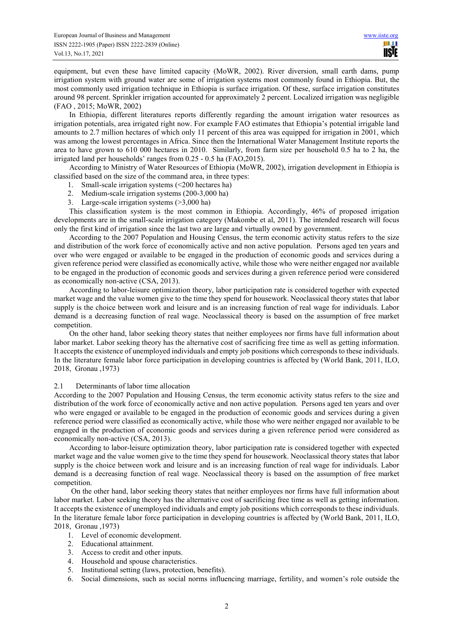equipment, but even these have limited capacity (MoWR, 2002). River diversion, small earth dams, pump irrigation system with ground water are some of irrigation systems most commonly found in Ethiopia. But, the most commonly used irrigation technique in Ethiopia is surface irrigation. Of these, surface irrigation constitutes around 98 percent. Sprinkler irrigation accounted for approximately 2 percent. Localized irrigation was negligible (FAO , 2015; MoWR, 2002)

In Ethiopia, different literatures reports differently regarding the amount irrigation water resources as irrigation potentials, area irrigated right now. For example FAO estimates that Ethiopia's potential irrigable land amounts to 2.7 million hectares of which only 11 percent of this area was equipped for irrigation in 2001, which was among the lowest percentages in Africa. Since then the International Water Management Institute reports the area to have grown to 610 000 hectares in 2010. Similarly, from farm size per household 0.5 ha to 2 ha, the irrigated land per households' ranges from 0.25 - 0.5 ha (FAO,2015).

According to Ministry of Water Resources of Ethiopia (MoWR, 2002), irrigation development in Ethiopia is classified based on the size of the command area, in three types:

- 1. Small-scale irrigation systems (<200 hectares ha)
- 2. Medium-scale irrigation systems (200-3,000 ha)
- 3. Large-scale irrigation systems (>3,000 ha)

This classification system is the most common in Ethiopia. Accordingly, 46% of proposed irrigation developments are in the small-scale irrigation category (Makombe et al, 2011). The intended research will focus only the first kind of irrigation since the last two are large and virtually owned by government.

According to the 2007 Population and Housing Census, the term economic activity status refers to the size and distribution of the work force of economically active and non active population. Persons aged ten years and over who were engaged or available to be engaged in the production of economic goods and services during a given reference period were classified as economically active, while those who were neither engaged nor available to be engaged in the production of economic goods and services during a given reference period were considered as economically non-active (CSA, 2013).

According to labor-leisure optimization theory, labor participation rate is considered together with expected market wage and the value women give to the time they spend for housework. Neoclassical theory states that labor supply is the choice between work and leisure and is an increasing function of real wage for individuals. Labor demand is a decreasing function of real wage. Neoclassical theory is based on the assumption of free market competition.

On the other hand, labor seeking theory states that neither employees nor firms have full information about labor market. Labor seeking theory has the alternative cost of sacrificing free time as well as getting information. It accepts the existence of unemployed individuals and empty job positions which corresponds to these individuals. In the literature female labor force participation in developing countries is affected by (World Bank, 2011, ILO, 2018, Gronau ,1973)

#### 2.1 Determinants of labor time allocation

According to the 2007 Population and Housing Census, the term economic activity status refers to the size and distribution of the work force of economically active and non active population. Persons aged ten years and over who were engaged or available to be engaged in the production of economic goods and services during a given reference period were classified as economically active, while those who were neither engaged nor available to be engaged in the production of economic goods and services during a given reference period were considered as economically non-active (CSA, 2013).

According to labor-leisure optimization theory, labor participation rate is considered together with expected market wage and the value women give to the time they spend for housework. Neoclassical theory states that labor supply is the choice between work and leisure and is an increasing function of real wage for individuals. Labor demand is a decreasing function of real wage. Neoclassical theory is based on the assumption of free market competition.

 On the other hand, labor seeking theory states that neither employees nor firms have full information about labor market. Labor seeking theory has the alternative cost of sacrificing free time as well as getting information. It accepts the existence of unemployed individuals and empty job positions which corresponds to these individuals. In the literature female labor force participation in developing countries is affected by (World Bank, 2011, ILO, 2018, Gronau ,1973)

- 1. Level of economic development.
- 2. Educational attainment.
- 3. Access to credit and other inputs.
- 4. Household and spouse characteristics.
- 5. Institutional setting (laws, protection, benefits).
- 6. Social dimensions, such as social norms influencing marriage, fertility, and women's role outside the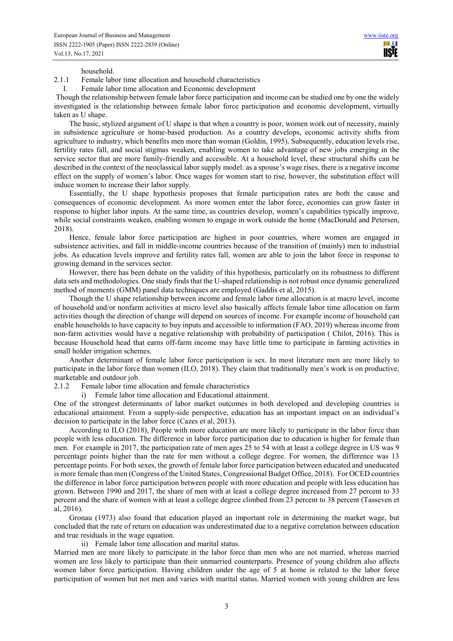household.

2.1.1 Female labor time allocation and household characteristics

I. Female labor time allocation and Economic development

 Though the relationship between female labor force participation and income can be studied one by one the widely investigated is the relationship between female labor force participation and economic development, virtually taken as U shape.

The basic, stylized argument of U shape is that when a country is poor, women work out of necessity, mainly in subsistence agriculture or home-based production. As a country develops, economic activity shifts from agriculture to industry, which benefits men more than woman (Goldin, 1995). Subsequently, education levels rise, fertility rates fall, and social stigmas weaken, enabling women to take advantage of new jobs emerging in the service sector that are more family-friendly and accessible. At a household level, these structural shifts can be described in the context of the neoclassical labor supply model: as a spouse's wage rises, there is a negative income effect on the supply of women's labor. Once wages for women start to rise, however, the substitution effect will induce women to increase their labor supply.

Essentially, the U shape hypothesis proposes that female participation rates are both the cause and consequences of economic development. As more women enter the labor force, economies can grow faster in response to higher labor inputs. At the same time, as countries develop, women's capabilities typically improve, while social constraints weaken, enabling women to engage in work outside the home (MacDonald and Petersen, 2018).

Hence, female labor force participation are highest in poor countries, where women are engaged in subsistence activities, and fall in middle-income countries because of the transition of (mainly) men to industrial jobs. As education levels improve and fertility rates fall, women are able to join the labor force in response to growing demand in the services sector.

However, there has been debate on the validity of this hypothesis, particularly on its robustness to different data sets and methodologies. One study finds that the U-shaped relationship is not robust once dynamic generalized method of moments (GMM) panel data techniques are employed (Gaddis et al, 2015).

Though the U shape relationship between income and female labor time allocation is at macro level, income of household and/or nonfarm activities at micro level also basically affects female labor time allocation on farm activities though the direction of change will depend on sources of income. For example income of household can enable households to have capacity to buy inputs and accessible to information (FAO, 2019) whereas income from non-farm activities would have a negative relationship with probability of participation ( Chilot, 2016). This is because Household head that earns off-farm income may have little time to participate in farming activities in small holder irrigation schemes.

Another determinant of female labor force participation is sex. In most literature men are more likely to participate in the labor force than women (ILO, 2018). They claim that traditionally men's work is on productive, marketable and outdoor job.

2.1.2 Female labor time allocation and female characteristics

i) Female labor time allocation and Educational attainment.

One of the strongest determinants of labor market outcomes in both developed and developing countries is educational attainment. From a supply-side perspective, education has an important impact on an individual's decision to participate in the labor force (Cazes et al, 2013).

According to ILO (2018), People with more education are more likely to participate in the labor force than people with less education. The difference in labor force participation due to education is higher for female than men. For example in 2017, the participation rate of men ages 25 to 54 with at least a college degree in US was 9 percentage points higher than the rate for men without a college degree. For women, the difference was 13 percentage points. For both sexes, the growth of female labor force participation between educated and uneducated is more female than men (Congress of the United States, Congressional Budget Office, 2018). For OCED countries the difference in labor force participation between people with more education and people with less education has grown. Between 1990 and 2017, the share of men with at least a college degree increased from 27 percent to 33 percent and the share of women with at least a college degree climbed from 23 percent to 38 percent (Tasseven et al, 2016).

Gronau (1973) also found that education played an important role in determining the market wage, but concluded that the rate of return on education was underestimated due to a negative correlation between education and true residuals in the wage equation.

ii) Female labor time allocation and marital status.

Married men are more likely to participate in the labor force than men who are not married, whereas married women are less likely to participate than their unmarried counterparts. Presence of young children also affects women labor force participation. Having children under the age of 5 at home is related to the labor force participation of women but not men and varies with marital status. Married women with young children are less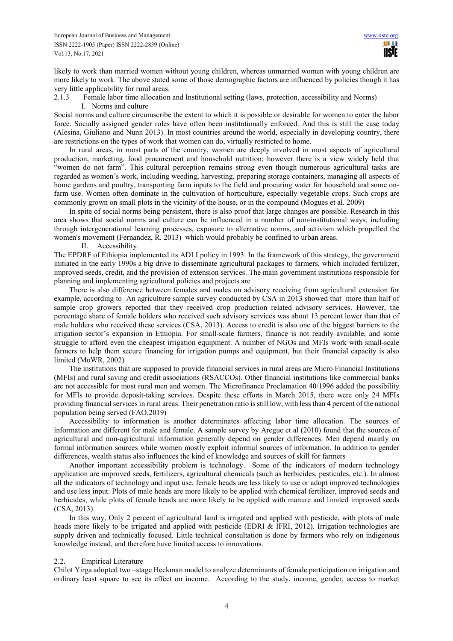likely to work than married women without young children, whereas unmarried women with young children are more likely to work. The above stated some of those demographic factors are influenced by policies though it has very little applicability for rural areas.

2.1.3 Female labor time allocation and Institutional setting (laws, protection, accessibility and Norms) I. Norms and culture

Social norms and culture circumscribe the extent to which it is possible or desirable for women to enter the labor force. Socially assigned gender roles have often been institutionally enforced. And this is still the case today (Alesina, Giuliano and Nunn 2013). In most countries around the world, especially in developing country, there are restrictions on the types of work that women can do, virtually restricted to home.

In rural areas, in most parts of the country, women are deeply involved in most aspects of agricultural production, marketing, food procurement and household nutrition; however there is a view widely held that "women do not farm". This cultural perception remains strong even though numerous agricultural tasks are regarded as women's work, including weeding, harvesting, preparing storage containers, managing all aspects of home gardens and poultry, transporting farm inputs to the field and procuring water for household and some onfarm use. Women often dominate in the cultivation of horticulture, especially vegetable crops. Such crops are commonly grown on small plots in the vicinity of the house, or in the compound (Mogues et al. 2009)

In spite of social norms being persistent, there is also proof that large changes are possible. Research in this area shows that social norms and culture can be influenced in a number of non-institutional ways, including through intergenerational learning processes, exposure to alternative norms, and activism which propelled the women's movement (Fernandez, R. 2013) which would probably be confined to urban areas.

II. Accessibility.

The EPDRF of Ethiopia implemented its ADLI policy in 1993. In the framework of this strategy, the government initiated in the early 1990s a big drive to disseminate agricultural packages to farmers, which included fertilizer, improved seeds, credit, and the provision of extension services. The main government institutions responsible for planning and implementing agricultural policies and projects are

There is also difference between females and males on advisory receiving from agricultural extension for example, according to An agriculture sample survey conducted by CSA in 2013 showed that more than half of sample crop growers reported that they received crop production related advisory services. However, the percentage share of female holders who received such advisory services was about 13 percent lower than that of male holders who received these services (CSA, 2013). Access to credit is also one of the biggest barriers to the irrigation sector's expansion in Ethiopia. For small-scale farmers, finance is not readily available, and some struggle to afford even the cheapest irrigation equipment. A number of NGOs and MFIs work with small-scale farmers to help them secure financing for irrigation pumps and equipment, but their financial capacity is also limited (MoWR, 2002)

The institutions that are supposed to provide financial services in rural areas are Micro Financial Institutions (MFIs) and rural saving and credit associations (RSACCOs). Other financial institutions like commercial banks are not accessible for most rural men and women. The Microfinance Proclamation 40/1996 added the possibility for MFIs to provide deposit-taking services. Despite these efforts in March 2015, there were only 24 MFIs providing financial services in rural areas. Their penetration ratio is still low, with less than 4 percent of the national population being served (FAO,2019)

Accessibility to information is another determinates affecting labor time allocation. The sources of information are different for male and female. A sample survey by Aregue et al (2010) found that the sources of agricultural and non-agricultural information generally depend on gender differences. Men depend mainly on formal information sources while women mostly exploit informal sources of information. In addition to gender differences, wealth status also influences the kind of knowledge and sources of skill for farmers

Another important accessibility problem is technology. Some of the indicators of modern technology application are improved seeds, fertilizers, agricultural chemicals (such as herbicides, pesticides, etc.). In almost all the indicators of technology and input use, female heads are less likely to use or adopt improved technologies and use less input. Plots of male heads are more likely to be applied with chemical fertilizer, improved seeds and herbicides, while plots of female heads are more likely to be applied with manure and limited improved seeds (CSA, 2013).

In this way, Only 2 percent of agricultural land is irrigated and applied with pesticide, with plots of male heads more likely to be irrigated and applied with pesticide (EDRI & IFRI, 2012). Irrigation technologies are supply driven and technically focused. Little technical consultation is done by farmers who rely on indigenous knowledge instead, and therefore have limited access to innovations.

#### 2.2. Empirical Literature

Chilot Yirga adopted two –stage Heckman model to analyze determinants of female participation on irrigation and ordinary least square to see its effect on income. According to the study, income, gender, access to market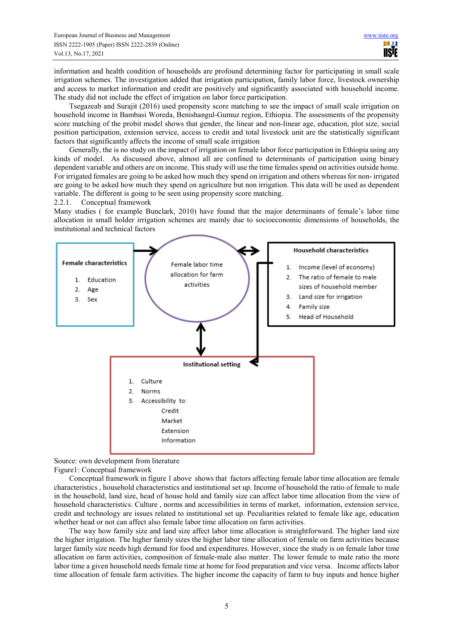information and health condition of households are profound determining factor for participating in small scale irrigation schemes. The investigation added that irrigation participation, family labor force, livestock ownership and access to market information and credit are positively and significantly associated with household income. The study did not include the effect of irrigation on labor force participation.

Tsegazeab and Surajit (2016) used propensity score matching to see the impact of small scale irrigation on household income in Bambasi Woreda, Benishangul-Gumuz region, Ethiopia. The assessments of the propensity score matching of the probit model shows that gender, the linear and non-linear age, education, plot size, social position participation, extension service, access to credit and total livestock unit are the statistically significant factors that significantly affects the income of small scale irrigation

Generally, the is no study on the impact of irrigation on female labor force participation in Ethiopia using any kinds of model. As discussed above, almost all are confined to determinants of participation using binary dependent variable and others are on income. This study will use the time females spend on activities outside home. For irrigated females are going to be asked how much they spend on irrigation and others whereas for non- irrigated are going to be asked how much they spend on agriculture but non irrigation. This data will be used as dependent variable. The different is going to be seen using propensity score matching.

2.2.1. Conceptual framework

Many studies ( for example Bunclark, 2010) have found that the major determinants of female's labor time allocation in small holder irrigation schemes are mainly due to socioeconomic dimensions of households, the institutional and technical factors



Source: own development from literature

Figure1: Conceptual framework

Conceptual framework in figure 1 above shows that factors affecting female labor time allocation are female characteristics , household characteristics and institutional set up. Income of household the ratio of female to male in the household, land size, head of house hold and family size can affect labor time allocation from the view of household characteristics. Culture , norms and accessibilities in terms of market, information, extension service, credit and technology are issues related to institutional set up. Peculiarities related to female like age, education whether head or not can affect also female labor time allocation on farm activities.

The way how family size and land size affect labor time allocation is straightforward. The higher land size the higher irrigation. The higher family sizes the higher labor time allocation of female on farm activities because larger family size needs high demand for food and expenditures. However, since the study is on female labor time allocation on farm activities, composition of female-male also matter. The lower female to male ratio the more labor time a given household needs female time at home for food preparation and vice versa. Income affects labor time allocation of female farm activities. The higher income the capacity of farm to buy inputs and hence higher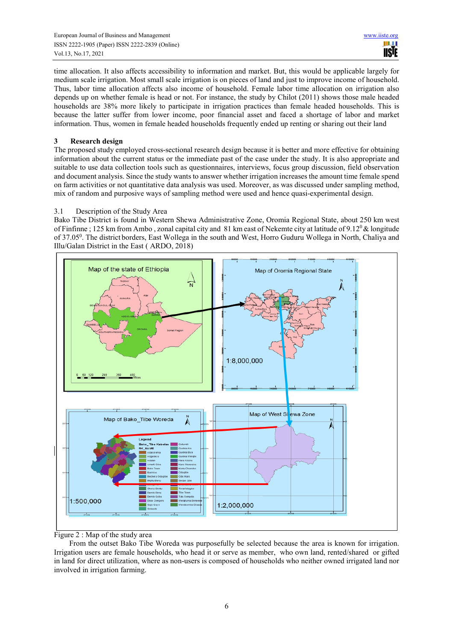time allocation. It also affects accessibility to information and market. But, this would be applicable largely for medium scale irrigation. Most small scale irrigation is on pieces of land and just to improve income of household. Thus, labor time allocation affects also income of household. Female labor time allocation on irrigation also depends up on whether female is head or not. For instance, the study by Chilot (2011) shows those male headed households are 38% more likely to participate in irrigation practices than female headed households. This is because the latter suffer from lower income, poor financial asset and faced a shortage of labor and market information. Thus, women in female headed households frequently ended up renting or sharing out their land

## **3 Research design**

The proposed study employed cross-sectional research design because it is better and more effective for obtaining information about the current status or the immediate past of the case under the study. It is also appropriate and suitable to use data collection tools such as questionnaires, interviews, focus group discussion, field observation and document analysis. Since the study wants to answer whether irrigation increases the amount time female spend on farm activities or not quantitative data analysis was used. Moreover, as was discussed under sampling method, mix of random and purposive ways of sampling method were used and hence quasi-experimental design.

## 3.1 Description of the Study Area

Bako Tibe District is found in Western Shewa Administrative Zone, Oromia Regional State, about 250 km west of Finfinne; 125 km from Ambo, zonal capital city and 81 km east of Nekemte city at latitude of 9.12<sup>0</sup> & longitude of 37.05<sup>0</sup>. The district borders, East Wollega in the south and West, Horro Guduru Wollega in North, Chaliya and Illu/Galan District in the East ( ARDO, 2018)



Figure 2 : Map of the study area

From the outset Bako Tibe Woreda was purposefully be selected because the area is known for irrigation. Irrigation users are female households, who head it or serve as member, who own land, rented/shared or gifted in land for direct utilization, where as non-users is composed of households who neither owned irrigated land nor involved in irrigation farming.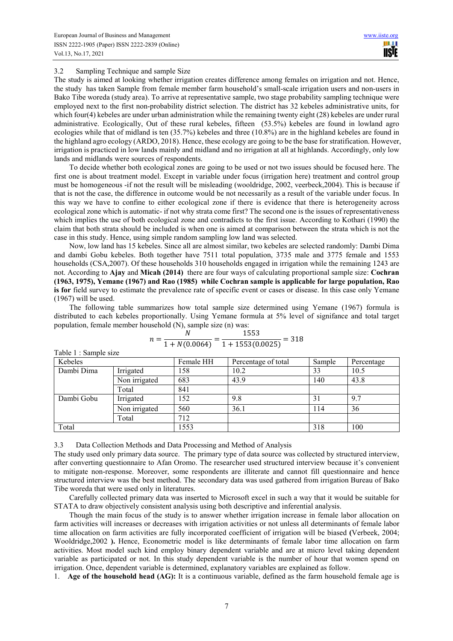#### 3.2 Sampling Technique and sample Size

The study is aimed at looking whether irrigation creates difference among females on irrigation and not. Hence, the study has taken Sample from female member farm household's small-scale irrigation users and non-users in Bako Tibe woreda (study area). To arrive at representative sample, two stage probability sampling technique were employed next to the first non-probability district selection. The district has 32 kebeles administrative units, for which four(4) kebeles are under urban administration while the remaining twenty eight (28) kebeles are under rural administrative. Ecologically, Out of these rural kebeles, fifteen (53.5%) kebeles are found in lowland agro ecologies while that of midland is ten (35.7%) kebeles and three (10.8%) are in the highland kebeles are found in the highland agro ecology (ARDO, 2018). Hence, these ecology are going to be the base for stratification. However, irrigation is practiced in low lands mainly and midland and no irrigation at all at highlands. Accordingly, only low lands and midlands were sources of respondents.

To decide whether both ecological zones are going to be used or not two issues should be focused here. The first one is about treatment model. Except in variable under focus (irrigation here) treatment and control group must be homogeneous -if not the result will be misleading (wooldridge, 2002, veerbeck,2004). This is because if that is not the case, the difference in outcome would be not necessarily as a result of the variable under focus. In this way we have to confine to either ecological zone if there is evidence that there is heterogeneity across ecological zone which is automatic- if not why strata come first? The second one is the issues of representativeness which implies the use of both ecological zone and contradicts to the first issue. According to Kothari (1990) the claim that both strata should be included is when one is aimed at comparison between the strata which is not the case in this study. Hence, using simple random sampling low land was selected.

Now, low land has 15 kebeles. Since all are almost similar, two kebeles are selected randomly: Dambi Dima and dambi Gobu kebeles. Both together have 7511 total population, 3735 male and 3775 female and 1553 households (CSA,2007). Of these households 310 households engaged in irrigation while the remaining 1243 are not. According to **Ajay** and **Micah (2014)** there are four ways of calculating proportional sample size: **Cochran (1963, 1975), Yemane (1967) and Rao (1985) while Cochran sample is applicable for large population, Rao is for** field survey to estimate the prevalence rate of specific event or cases or disease. In this case only Yemane (1967) will be used.

The following table summarizes how total sample size determined using Yemane (1967) formula is distributed to each kebeles proportionally. Using Yemane formula at 5% level of signifance and total target population, female member household (N), sample size (n) was:

| Table 1 : Sample size |               |           |                     |        |            |
|-----------------------|---------------|-----------|---------------------|--------|------------|
| Kebeles               |               | Female HH | Percentage of total | Sample | Percentage |
| Dambi Dima            | Irrigated     | 158       | 10.2                | 33     | 10.5       |
|                       | Non irrigated | 683       | 43.9                | 140    | 43.8       |
|                       | Total         | 841       |                     |        |            |
| Dambi Gobu            | Irrigated     | 152       | 9.8                 | 31     | 9.7        |
|                       | Non irrigated | 560       | 36.1                | 114    | 36         |
|                       | Total         | 712       |                     |        |            |
| Total                 |               | 1553      |                     | 318    | 100        |

|  |                 | 1553<br>$= 318$    |  |
|--|-----------------|--------------------|--|
|  | $1 + N(0.0064)$ | $1 + 1553(0.0025)$ |  |

3.3 Data Collection Methods and Data Processing and Method of Analysis

The study used only primary data source. The primary type of data source was collected by structured interview, after converting questionnaire to Afan Oromo. The researcher used structured interview because it's convenient to mitigate non-response. Moreover, some respondents are illiterate and cannot fill questionnaire and hence structured interview was the best method. The secondary data was used gathered from irrigation Bureau of Bako Tibe woreda that were used only in literatures.

Carefully collected primary data was inserted to Microsoft excel in such a way that it would be suitable for STATA to draw objectively consistent analysis using both descriptive and inferential analysis.

Though the main focus of the study is to answer whether irrigation increase in female labor allocation on farm activities will increases or decreases with irrigation activities or not unless all determinants of female labor time allocation on farm activities are fully incorporated coefficient of irrigation will be biased **(**Verbeek, 2004; Wooldridge,2002 **).** Hence, Econometric model is like determinants of female labor time allocation on farm activities. Most model such kind employ binary dependent variable and are at micro level taking dependent variable as participated or not. In this study dependent variable is the number of hour that women spend on irrigation. Once, dependent variable is determined, explanatory variables are explained as follow.

1. **Age of the household head (AG):** It is a continuous variable, defined as the farm household female age is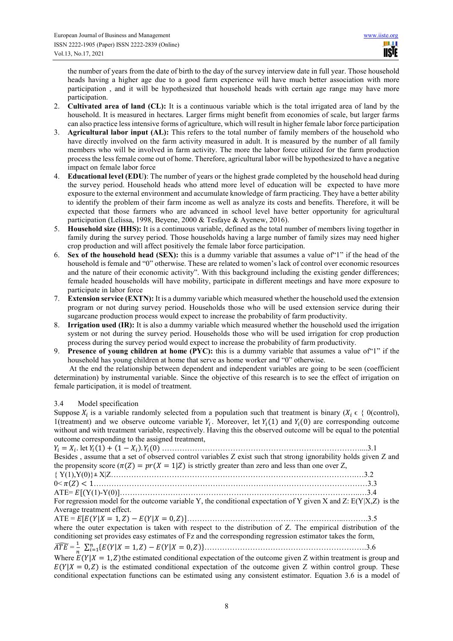the number of years from the date of birth to the day of the survey interview date in full year. Those household heads having a higher age due to a good farm experience will have much better association with more participation , and it will be hypothesized that household heads with certain age range may have more participation.

- 2. **Cultivated area of land (CL):** It is a continuous variable which is the total irrigated area of land by the household. It is measured in hectares. Larger firms might benefit from economies of scale, but larger farms can also practice less intensive forms of agriculture, which will result in higher female labor force participation
- 3. **Agricultural labor input (AL):** This refers to the total number of family members of the household who have directly involved on the farm activity measured in adult. It is measured by the number of all family members who will be involved in farm activity. The more the labor force utilized for the farm production process the less female come out of home. Therefore, agricultural labor will be hypothesized to have a negative impact on female labor force
- 4. **Educational level (EDU)**: The number of years or the highest grade completed by the household head during the survey period. Household heads who attend more level of education will be expected to have more exposure to the external environment and accumulate knowledge of farm practicing. They have a better ability to identify the problem of their farm income as well as analyze its costs and benefits. Therefore, it will be expected that those farmers who are advanced in school level have better opportunity for agricultural participation (Lelissa, 1998, Beyene, 2000 & Tesfaye & Ayenew, 2016).
- 5. **Household size (HHS):** It is a continuous variable, defined as the total number of members living together in family during the survey period. Those households having a large number of family sizes may need higher crop production and will affect positively the female labor force participation.
- 6. **Sex of the household head (SEX):** this is a dummy variable that assumes a value of"1" if the head of the household is female and "0" otherwise. These are related to women's lack of control over economic resources and the nature of their economic activity". With this background including the existing gender differences; female headed households will have mobility, participate in different meetings and have more exposure to participate in labor force
- 7. **Extension service (EXTN):** It is a dummy variable which measured whether the household used the extension program or not during survey period. Households those who will be used extension service during their sugarcane production process would expect to increase the probability of farm productivity.
- 8. **Irrigation used (IR):** It is also a dummy variable which measured whether the household used the irrigation system or not during the survey period. Households those who will be used irrigation for crop production process during the survey period would expect to increase the probability of farm productivity.
- 9. **Presence of young children at home (PYC):** this is a dummy variable that assumes a value of"1" if the household has young children at home that serve as home worker and "0" otherwise.

At the end the relationship between dependent and independent variables are going to be seen (coefficient determination) by instrumental variable. Since the objective of this research is to see the effect of irrigation on female participation, it is model of treatment.

## 3.4 Model specification

Suppose  $X_i$  is a variable randomly selected from a population such that treatment is binary ( $X_i \in \{0(\text{control})\}$ , 1(treatment) and we observe outcome variable  $Y_i$ . Moreover, let  $Y_i(1)$  and  $Y_i(0)$  are corresponding outcome without and with treatment variable, respectively. Having this the observed outcome will be equal to the potential outcome corresponding to the assigned treatment,

| Besides, assume that a set of observed control variables Z exist such that strong ignorability holds given Z and   |  |
|--------------------------------------------------------------------------------------------------------------------|--|
| the propensity score $(\pi(Z) = pr(X = 1 Z))$ is strictly greater than zero and less than one over Z,              |  |
|                                                                                                                    |  |
|                                                                                                                    |  |
|                                                                                                                    |  |
| For regression model for the outcome variable Y, the conditional expectation of Y given X and Z: $E(Y X,Z)$ is the |  |
| Average treatment effect.                                                                                          |  |
|                                                                                                                    |  |
| where the outer expectation is taken with respect to the distribution of Z. The empirical distribution of the      |  |
| conditioning set provides easy estimates of Fz and the corresponding regression estimator takes the form,          |  |
|                                                                                                                    |  |
| Where $E(Y X = 1, Z)$ the estimated conditional expectation of the outcome given Z within treatment is group and   |  |
| $E(Y X = 0, Z)$ is the estimated conditional expectation of the outcome given Z within control group. These        |  |
| conditional expectation functions can be estimated using any consistent estimator. Equation 3.6 is a model of      |  |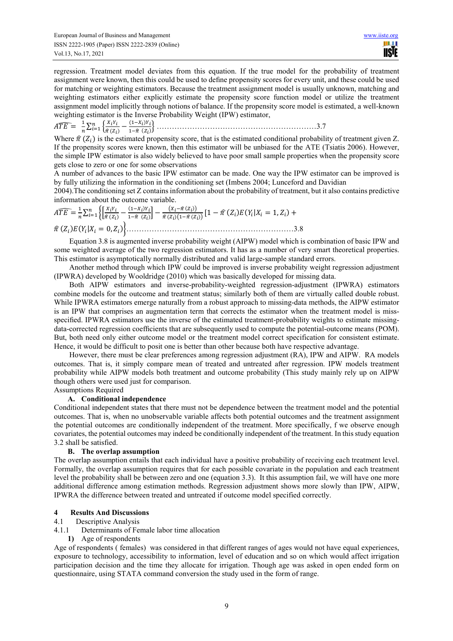regression. Treatment model deviates from this equation. If the true model for the probability of treatment assignment were known, then this could be used to define propensity scores for every unit, and these could be used for matching or weighting estimators. Because the treatment assignment model is usually unknown, matching and weighting estimators either explicitly estimate the propensity score function model or utilize the treatment assignment model implicitly through notions of balance. If the propensity score model is estimated, a well-known weighting estimator is the Inverse Probability Weight (IPW) estimator,

 $\widehat{ATE} = \frac{1}{n}$  $\frac{1}{n}\sum_{i=1}^n\left\{\frac{X_iY_i}{\hat{\pi}(Z_i)}\right\}$  $\frac{X_i Y_i}{\hat{\pi}(Z_i)} - \frac{(1-X_i)Y_i}{1-\hat{\pi}(Z_i)}$  $\sum_{i=1}^{n} \left\{ \frac{x_i r_i}{\hat{\pi}(Z_i)} - \frac{(1 - x_i) r_i}{1 - \hat{\pi}(Z_i)} \right\}$ '" ………………………………………………………3.7

Where  $\hat{\pi}(Z_i)$  is the estimated propensity score, that is the estimated conditional probability of treatment given Z. If the propensity scores were known, then this estimator will be unbiased for the ATE (Tsiatis 2006). However, the simple IPW estimator is also widely believed to have poor small sample properties when the propensity score gets close to zero or one for some observations

A number of advances to the basic IPW estimator can be made. One way the IPW estimator can be improved is by fully utilizing the information in the conditioning set (Imbens 2004; Lunceford and Davidian

2004).The conditioning set Z contains information about the probability of treatment, but it also contains predictive information about the outcome variable.

$$
\widehat{ATE} = \frac{1}{n} \sum_{i=1}^{n} \left\{ \left[ \frac{X_i Y_i}{\hat{\pi}(Z_i)} - \frac{(1 - X_i) Y_i}{1 - \hat{\pi}(Z_i)} \right] - \frac{(X_i - \hat{\pi}(Z_i))}{\hat{\pi}(Z_i)(1 - \hat{\pi}(Z_i))} \left[ 1 - \hat{\pi}(Z_i) E(Y_i | X_i = 1, Z_i) + \hat{\pi}(Z_i) E(Y_i | X_i = 0, Z_i) \right\} \right]
$$

Equation 3.8 is augmented inverse probability weight (AIPW) model which is combination of basic IPW and some weighted average of the two regression estimators. It has as a number of very smart theoretical properties. This estimator is asymptotically normally distributed and valid large-sample standard errors.

Another method through which IPW could be improved is inverse probability weight regression adjustment (IPWRA) developed by Wooldridge (2010) which was basically developed for missing data.

Both AIPW estimators and inverse-probability-weighted regression-adjustment (IPWRA) estimators combine models for the outcome and treatment status; similarly both of them are virtually called double robust. While IPWRA estimators emerge naturally from a robust approach to missing-data methods, the AIPW estimator is an IPW that comprises an augmentation term that corrects the estimator when the treatment model is missspecified. IPWRA estimators use the inverse of the estimated treatment-probability weights to estimate missingdata-corrected regression coefficients that are subsequently used to compute the potential-outcome means (POM). But, both need only either outcome model or the treatment model correct specification for consistent estimate. Hence, it would be difficult to posit one is better than other because both have respective advantage.

However, there must be clear preferences among regression adjustment (RA), IPW and AIPW. RA models outcomes. That is, it simply compare mean of treated and untreated after regression. IPW models treatment probability while AIPW models both treatment and outcome probability (This study mainly rely up on AIPW though others were used just for comparison.

Assumptions Required

#### **A. Conditional independence**

Conditional independent states that there must not be dependence between the treatment model and the potential outcomes. That is, when no unobservable variable affects both potential outcomes and the treatment assignment the potential outcomes are conditionally independent of the treatment. More specifically, f we observe enough covariates, the potential outcomes may indeed be conditionally independent of the treatment. In this study equation 3.2 shall be satisfied.

#### **B. The overlap assumption**

The overlap assumption entails that each individual have a positive probability of receiving each treatment level. Formally, the overlap assumption requires that for each possible covariate in the population and each treatment level the probability shall be between zero and one (equation 3.3). It this assumption fail, we will have one more additional difference among estimation methods. Regression adjustment shows more slowly than IPW, AIPW, IPWRA the difference between treated and untreated if outcome model specified correctly.

# **4 Results And Discussions**

#### Descriptive Analysis

- 4.1.1 Determinants of Female labor time allocation
	- **1)** Age of respondents

Age of respondents ( females) was considered in that different ranges of ages would not have equal experiences, exposure to technology, accessibility to information, level of education and so on which would affect irrigation participation decision and the time they allocate for irrigation. Though age was asked in open ended form on questionnaire, using STATA command conversion the study used in the form of range.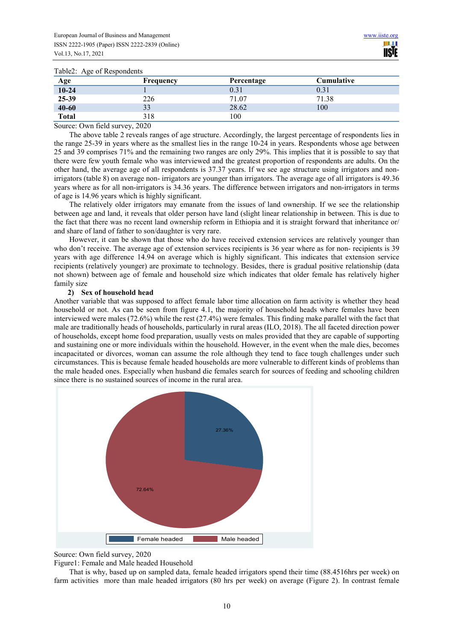#### Table2: Age of Respondents

| Age          | <b>Frequency</b> | Percentage | <b>Cumulative</b> |
|--------------|------------------|------------|-------------------|
| $10 - 24$    |                  | 0.31       | 0.31              |
| 25-39        | 226              | 71.07      | 71.38             |
| $40 - 60$    | 33               | 28.62      | 100               |
| <b>Total</b> | 318              | 100        |                   |

Source: Own field survey, 2020

The above table 2 reveals ranges of age structure. Accordingly, the largest percentage of respondents lies in the range 25-39 in years where as the smallest lies in the range 10-24 in years. Respondents whose age between 25 and 39 comprises 71% and the remaining two ranges are only 29%. This implies that it is possible to say that there were few youth female who was interviewed and the greatest proportion of respondents are adults. On the other hand, the average age of all respondents is 37.37 years. If we see age structure using irrigators and nonirrigators (table 8) on average non- irrigators are younger than irrigators. The average age of all irrigators is 49.36 years where as for all non-irrigators is 34.36 years. The difference between irrigators and non-irrigators in terms of age is 14.96 years which is highly significant.

The relatively older irrigators may emanate from the issues of land ownership. If we see the relationship between age and land, it reveals that older person have land (slight linear relationship in between. This is due to the fact that there was no recent land ownership reform in Ethiopia and it is straight forward that inheritance or/ and share of land of father to son/daughter is very rare.

However, it can be shown that those who do have received extension services are relatively younger than who don't receive. The average age of extension services recipients is 36 year where as for non- recipients is 39 years with age difference 14.94 on average which is highly significant. This indicates that extension service recipients (relatively younger) are proximate to technology. Besides, there is gradual positive relationship (data not shown) between age of female and household size which indicates that older female has relatively higher family size

#### **2) Sex of household head**

Another variable that was supposed to affect female labor time allocation on farm activity is whether they head household or not. As can be seen from figure 4.1, the majority of household heads where females have been interviewed were males (72.6%) while the rest (27.4%) were females. This finding make parallel with the fact that male are traditionally heads of households, particularly in rural areas (ILO, 2018). The all faceted direction power of households, except home food preparation, usually vests on males provided that they are capable of supporting and sustaining one or more individuals within the household. However, in the event when the male dies, becomes incapacitated or divorces, woman can assume the role although they tend to face tough challenges under such circumstances. This is because female headed households are more vulnerable to different kinds of problems than the male headed ones. Especially when husband die females search for sources of feeding and schooling children since there is no sustained sources of income in the rural area.



Source: Own field survey, 2020

Figure1: Female and Male headed Household

That is why, based up on sampled data, female headed irrigators spend their time (88.4516hrs per week) on farm activities more than male headed irrigators (80 hrs per week) on average (Figure 2). In contrast female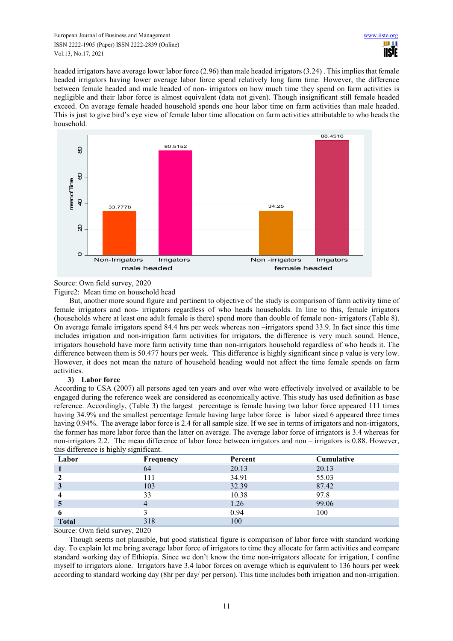headed irrigators have average lower labor force (2.96) than male headed irrigators (3.24) . This implies that female headed irrigators having lower average labor force spend relatively long farm time. However, the difference between female headed and male headed of non- irrigators on how much time they spend on farm activities is negligible and their labor force is almost equivalent (data not given). Though insignificant still female headed exceed. On average female headed household spends one hour labor time on farm activities than male headed. This is just to give bird's eye view of female labor time allocation on farm activities attributable to who heads the household.



Source: Own field survey, 2020

Figure2: Mean time on household head

But, another more sound figure and pertinent to objective of the study is comparison of farm activity time of female irrigators and non- irrigators regardless of who heads households. In line to this, female irrigators (households where at least one adult female is there) spend more than double of female non- irrigators (Table 8). On average female irrigators spend 84.4 hrs per week whereas non –irrigators spend 33.9. In fact since this time includes irrigation and non-irrigation farm activities for irrigators, the difference is very much sound. Hence, irrigators household have more farm activity time than non-irrigators household regardless of who heads it. The difference between them is 50.477 hours per week. This difference is highly significant since p value is very low. However, it does not mean the nature of household heading would not affect the time female spends on farm activities.

#### **3) Labor force**

According to CSA (2007) all persons aged ten years and over who were effectively involved or available to be engaged during the reference week are considered as economically active. This study has used definition as base reference. Accordingly, (Table 3) the largest percentage is female having two labor force appeared 111 times having 34.9% and the smallest percentage female having large labor force is labor sized 6 appeared three times having 0.94%. The average labor force is 2.4 for all sample size. If we see in terms of irrigators and non-irrigators, the former has more labor force than the latter on average. The average labor force of irrigators is 3.4 whereas for non-irrigators 2.2. The mean difference of labor force between irrigators and non – irrigators is 0.88. However, this difference is highly significant.

| Labor        | Frequency | Percent | Cumulative |
|--------------|-----------|---------|------------|
|              | 64        | 20.13   | 20.13      |
|              | 111       | 34.91   | 55.03      |
| 3            | 103       | 32.39   | 87.42      |
|              | 33        | 10.38   | 97.8       |
|              | 4         | 1.26    | 99.06      |
|              |           | 0.94    | 100        |
| <b>Total</b> | 318       | 100     |            |

Source: Own field survey, 2020

Though seems not plausible, but good statistical figure is comparison of labor force with standard working day. To explain let me bring average labor force of irrigators to time they allocate for farm activities and compare standard working day of Ethiopia. Since we don't know the time non-irrigators allocate for irrigation, I confine myself to irrigators alone. Irrigators have 3.4 labor forces on average which is equivalent to 136 hours per week according to standard working day (8hr per day/ per person). This time includes both irrigation and non-irrigation.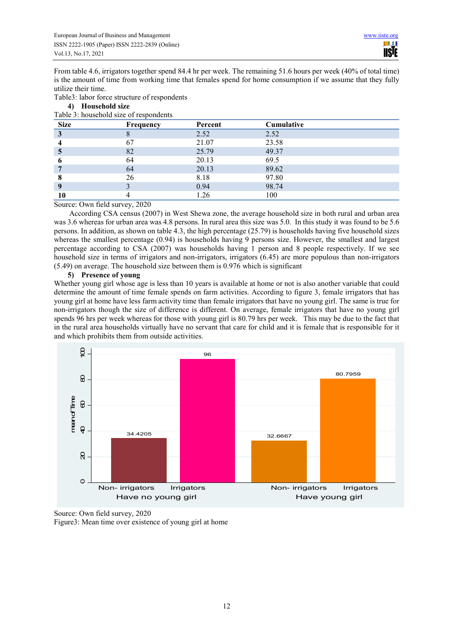From table 4.6, irrigators together spend 84.4 hr per week. The remaining 51.6 hours per week (40% of total time) is the amount of time from working time that females spend for home consumption if we assume that they fully utilize their time.

|  |  |  |  |  | Table3: labor force structure of respondents |
|--|--|--|--|--|----------------------------------------------|
|--|--|--|--|--|----------------------------------------------|

| Table 3: household size of respondents |           |         |            |  |  |  |  |  |
|----------------------------------------|-----------|---------|------------|--|--|--|--|--|
| <b>Size</b>                            | Frequency | Percent | Cumulative |  |  |  |  |  |
| 3                                      |           | 2.52    | 2.52       |  |  |  |  |  |
|                                        | 67        | 21.07   | 23.58      |  |  |  |  |  |
|                                        | 82        | 25.79   | 49.37      |  |  |  |  |  |
|                                        | 64        | 20.13   | 69.5       |  |  |  |  |  |
|                                        | 64        | 20.13   | 89.62      |  |  |  |  |  |
|                                        | 26        | 8.18    | 97.80      |  |  |  |  |  |
|                                        |           | 0.94    | 98.74      |  |  |  |  |  |
|                                        |           | 1.26    | 100        |  |  |  |  |  |

**4) Household size** 

#### Source: Own field survey, 2020

According CSA census (2007) in West Shewa zone, the average household size in both rural and urban area was 3.6 whereas for urban area was 4.8 persons. In rural area this size was 5.0. In this study it was found to be 5.6 persons. In addition, as shown on table 4.3, the high percentage (25.79) is households having five household sizes whereas the smallest percentage (0.94) is households having 9 persons size. However, the smallest and largest percentage according to CSA (2007) was households having 1 person and 8 people respectively. If we see household size in terms of irrigators and non-irrigators, irrigators (6.45) are more populous than non-irrigators (5.49) on average. The household size between them is 0.976 which is significant

#### **5) Presence of young**

Whether young girl whose age is less than 10 years is available at home or not is also another variable that could determine the amount of time female spends on farm activities. According to figure 3, female irrigators that has young girl at home have less farm activity time than female irrigators that have no young girl. The same is true for non-irrigators though the size of difference is different. On average, female irrigators that have no young girl spends 96 hrs per week whereas for those with young girl is 80.79 hrs per week. This may be due to the fact that in the rural area households virtually have no servant that care for child and it is female that is responsible for it and which prohibits them from outside activities.



Source: Own field survey, 2020

Figure3: Mean time over existence of young girl at home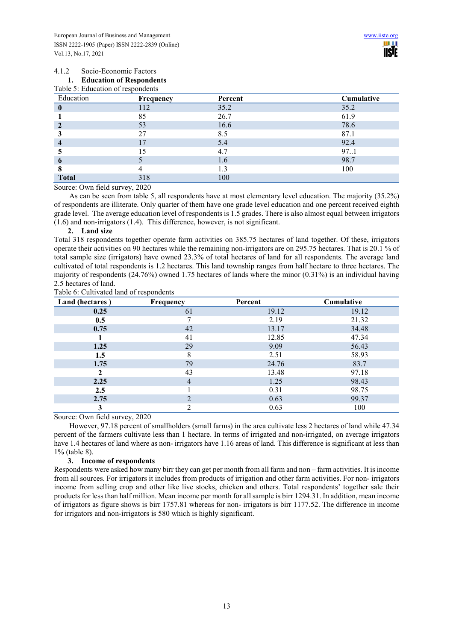## 4.1.2 Socio-Economic Factors **1. Education of Respondents**

| Table 5: Education of respondents |           |         |            |  |  |  |  |  |
|-----------------------------------|-----------|---------|------------|--|--|--|--|--|
| Education                         | Frequency | Percent | Cumulative |  |  |  |  |  |
|                                   | 112       | 35.2    | 35.2       |  |  |  |  |  |
|                                   | 85        | 26.7    | 61.9       |  |  |  |  |  |
|                                   | 53        | 16.6    | 78.6       |  |  |  |  |  |
|                                   | 27        | 8.5     | 87.1       |  |  |  |  |  |
|                                   |           | 5.4     | 92.4       |  |  |  |  |  |
|                                   |           | 4.7     | 97.1       |  |  |  |  |  |
| 6                                 |           | 1.6     | 98.7       |  |  |  |  |  |
|                                   |           | 1.3     | 100        |  |  |  |  |  |
| <b>Total</b>                      | 318       | 100     |            |  |  |  |  |  |

Source: Own field survey, 2020

As can be seen from table 5, all respondents have at most elementary level education. The majority (35.2%) of respondents are illiterate. Only quarter of them have one grade level education and one percent received eighth grade level. The average education level of respondents is 1.5 grades. There is also almost equal between irrigators (1.6) and non-irrigators (1.4). This difference, however, is not significant.

#### **2. Land size**

Total 318 respondents together operate farm activities on 385.75 hectares of land together. Of these, irrigators operate their activities on 90 hectares while the remaining non-irrigators are on 295.75 hectares. That is 20.1 % of total sample size (irrigators) have owned 23.3% of total hectares of land for all respondents. The average land cultivated of total respondents is 1.2 hectares. This land township ranges from half hectare to three hectares. The majority of respondents (24.76%) owned 1.75 hectares of lands where the minor (0.31%) is an individual having 2.5 hectares of land.

#### Table 6: Cultivated land of respondents

| Land (hectares) | Frequency | Percent | Cumulative |
|-----------------|-----------|---------|------------|
| 0.25            | 61        | 19.12   | 19.12      |
| 0.5             |           | 2.19    | 21.32      |
| 0.75            | 42        | 13.17   | 34.48      |
|                 | 41        | 12.85   | 47.34      |
| 1.25            | 29        | 9.09    | 56.43      |
| 1.5             | 8         | 2.51    | 58.93      |
| 1.75            | 79        | 24.76   | 83.7       |
|                 | 43        | 13.48   | 97.18      |
| 2.25            | 4         | 1.25    | 98.43      |
| 2.5             |           | 0.31    | 98.75      |
| 2.75            |           | 0.63    | 99.37      |
| 3               |           | 0.63    | 100        |

Source: Own field survey, 2020

However, 97.18 percent of smallholders (small farms) in the area cultivate less 2 hectares of land while 47.34 percent of the farmers cultivate less than 1 hectare. In terms of irrigated and non-irrigated, on average irrigators have 1.4 hectares of land where as non- irrigators have 1.16 areas of land. This difference is significant at less than 1% (table 8).

#### **3. Income of respondents**

Respondents were asked how many birr they can get per month from all farm and non – farm activities. It is income from all sources. For irrigators it includes from products of irrigation and other farm activities. For non- irrigators income from selling crop and other like live stocks, chicken and others. Total respondents' together sale their products for less than half million. Mean income per month for all sample is birr 1294.31. In addition, mean income of irrigators as figure shows is birr 1757.81 whereas for non- irrigators is birr 1177.52. The difference in income for irrigators and non-irrigators is 580 which is highly significant.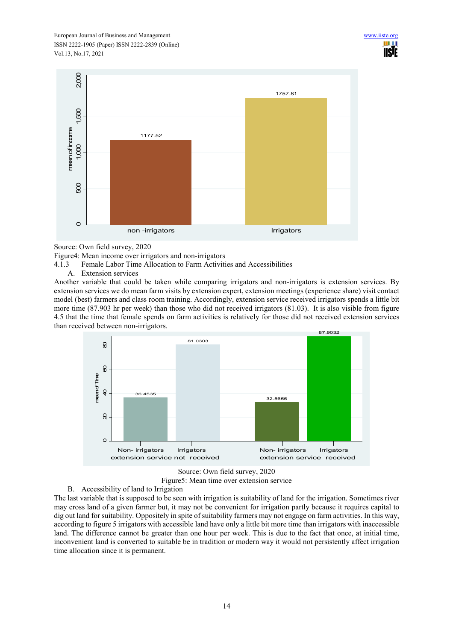

Source: Own field survey, 2020

Figure4: Mean income over irrigators and non-irrigators

- 4.1.3 Female Labor Time Allocation to Farm Activities and Accessibilities
	- A. Extension services

Another variable that could be taken while comparing irrigators and non-irrigators is extension services. By extension services we do mean farm visits by extension expert, extension meetings (experience share) visit contact model (best) farmers and class room training. Accordingly, extension service received irrigators spends a little bit more time (87.903 hr per week) than those who did not received irrigators (81.03). It is also visible from figure 4.5 that the time that female spends on farm activities is relatively for those did not received extension services than received between non-irrigators.



Source: Own field survey, 2020 Figure5: Mean time over extension service

B. Accessibility of land to Irrigation

The last variable that is supposed to be seen with irrigation is suitability of land for the irrigation. Sometimes river may cross land of a given farmer but, it may not be convenient for irrigation partly because it requires capital to dig out land for suitability. Oppositely in spite of suitability farmers may not engage on farm activities. In this way, according to figure 5 irrigators with accessible land have only a little bit more time than irrigators with inaccessible land. The difference cannot be greater than one hour per week. This is due to the fact that once, at initial time, inconvenient land is converted to suitable be in tradition or modern way it would not persistently affect irrigation time allocation since it is permanent.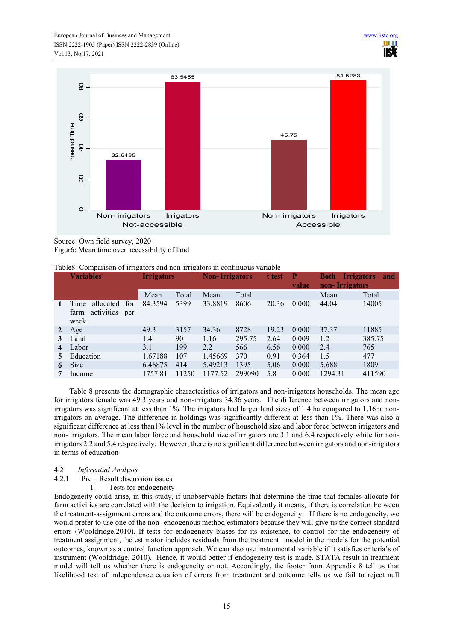

Source: Own field survey, 2020 Figur6: Mean time over accessibility of land

#### Table8: Comparison of irrigators and non-irrigators in continuous variable

|   | <b>Variables</b>                                              | <b>Irrigators</b> |       | <b>Non-</b> irrigators |        | t test | - P<br>value | <b>Both</b><br>non-Irrigators | <b>Irrigators</b><br>and |
|---|---------------------------------------------------------------|-------------------|-------|------------------------|--------|--------|--------------|-------------------------------|--------------------------|
|   |                                                               | Mean              | Total | Mean                   | Total  |        |              | Mean                          | Total                    |
|   | allocated<br>Time<br>for<br>activities<br>farm<br>per<br>week | 84.3594           | 5399  | 33.8819                | 8606   | 20.36  | 0.000        | 44.04                         | 14005                    |
| 2 | Age                                                           | 49.3              | 3157  | 34.36                  | 8728   | 19.23  | 0.000        | 37.37                         | 11885                    |
| 3 | Land                                                          | 1.4               | 90    | 1.16                   | 295.75 | 2.64   | 0.009        | 1.2                           | 385.75                   |
| 4 | Labor                                                         | 3.1               | 199   | 2.2                    | 566    | 6.56   | 0.000        | 2.4                           | 765                      |
|   | Education                                                     | 1.67188           | 107   | 1.45669                | 370    | 0.91   | 0.364        | 1.5                           | 477                      |
| 6 | <b>Size</b>                                                   | 6.46875           | 414   | 5.49213                | 1395   | 5.06   | 0.000        | 5.688                         | 1809                     |
|   | Income                                                        | 1757.81           | 11250 | 1177.52                | 299090 | 5.8    | 0.000        | 1294.31                       | 411590                   |

Table 8 presents the demographic characteristics of irrigators and non-irrigators households. The mean age for irrigators female was 49.3 years and non-irrigators 34.36 years. The difference between irrigators and nonirrigators was significant at less than 1%. The irrigators had larger land sizes of 1.4 ha compared to 1.16ha nonirrigators on average. The difference in holdings was significantly different at less than 1%. There was also a significant difference at less than1% level in the number of household size and labor force between irrigators and non- irrigators. The mean labor force and household size of irrigators are 3.1 and 6.4 respectively while for nonirrigators 2.2 and 5.4 respectively. However, there is no significant difference between irrigators and non-irrigators in terms of education

#### 4.2 *Inferential Analysis*

- 4.2.1 Pre Result discussion issues
	- I. Tests for endogeneity

Endogeneity could arise, in this study, if unobservable factors that determine the time that females allocate for farm activities are correlated with the decision to irrigation. Equivalently it means, if there is correlation between the treatment-assignment errors and the outcome errors, there will be endogeneity. If there is no endogeneity, we would prefer to use one of the non- endogenous method estimators because they will give us the correct standard errors (Wooldridge,2010). If tests for endogeneity biases for its existence, to control for the endogeneity of treatment assignment, the estimator includes residuals from the treatment model in the models for the potential outcomes, known as a control function approach. We can also use instrumental variable if it satisfies criteria's of instrument (Wooldridge, 2010). Hence, it would better if endogeneity test is made. STATA result in treatment model will tell us whether there is endogeneity or not. Accordingly, the footer from Appendix 8 tell us that likelihood test of independence equation of errors from treatment and outcome tells us we fail to reject null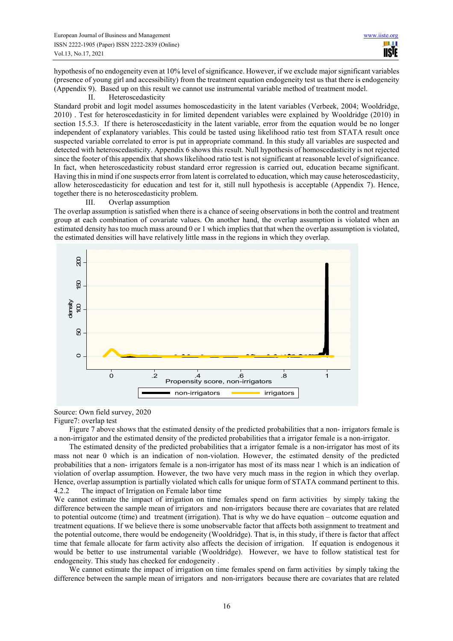hypothesis of no endogeneity even at 10% level of significance. However, if we exclude major significant variables (presence of young girl and accessibility) from the treatment equation endogeneity test us that there is endogeneity (Appendix 9). Based up on this result we cannot use instrumental variable method of treatment model.

#### II. Heteroscedasticity

Standard probit and logit model assumes homoscedasticity in the latent variables (Verbeek, 2004; Wooldridge, 2010) . Test for heteroscedasticity in for limited dependent variables were explained by Wooldridge (2010) in section 15.5.3. If there is heteroscedasticity in the latent variable, error from the equation would be no longer independent of explanatory variables. This could be tasted using likelihood ratio test from STATA result once suspected variable correlated to error is put in appropriate command. In this study all variables are suspected and detected with heteroscedasticity. Appendix 6 shows this result. Null hypothesis of homoscedasticity is not rejected since the footer of this appendix that shows likelihood ratio test is not significant at reasonable level of significance. In fact, when heteroscedasticity robust standard error regression is carried out, education became significant. Having this in mind if one suspects error from latent is correlated to education, which may cause heteroscedasticity, allow heteroscedasticity for education and test for it, still null hypothesis is acceptable (Appendix 7). Hence, together there is no heteroscedasticity problem.

#### III. Overlap assumption

The overlap assumption is satisfied when there is a chance of seeing observations in both the control and treatment group at each combination of covariate values. On another hand, the overlap assumption is violated when an estimated density has too much mass around 0 or 1 which implies that that when the overlap assumption is violated, the estimated densities will have relatively little mass in the regions in which they overlap.



## Source: Own field survey, 2020

### Figure7: overlap test

Figure 7 above shows that the estimated density of the predicted probabilities that a non- irrigators female is a non-irrigator and the estimated density of the predicted probabilities that a irrigator female is a non-irrigator.

The estimated density of the predicted probabilities that a irrigator female is a non-irrigator has most of its mass not near 0 which is an indication of non-violation. However, the estimated density of the predicted probabilities that a non- irrigators female is a non-irrigator has most of its mass near 1 which is an indication of violation of overlap assumption. However, the two have very much mass in the region in which they overlap. Hence, overlap assumption is partially violated which calls for unique form of STATA command pertinent to this. 4.2.2 The impact of Irrigation on Female labor time

We cannot estimate the impact of irrigation on time females spend on farm activities by simply taking the difference between the sample mean of irrigators and non-irrigators because there are covariates that are related to potential outcome (time) and treatment (irrigation). That is why we do have equation – outcome equation and treatment equations. If we believe there is some unobservable factor that affects both assignment to treatment and the potential outcome, there would be endogeneity (Wooldridge). That is, in this study, if there is factor that affect time that female allocate for farm activity also affects the decision of irrigation. If equation is endogenous it would be better to use instrumental variable (Wooldridge). However, we have to follow statistical test for endogeneity. This study has checked for endogeneity .

We cannot estimate the impact of irrigation on time females spend on farm activities by simply taking the difference between the sample mean of irrigators and non-irrigators because there are covariates that are related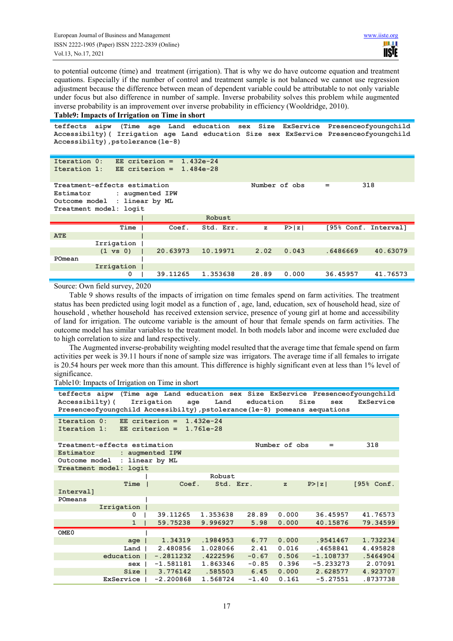to potential outcome (time) and treatment (irrigation). That is why we do have outcome equation and treatment equations. Especially if the number of control and treatment sample is not balanced we cannot use regression adjustment because the difference between mean of dependent variable could be attributable to not only variable under focus but also difference in number of sample. Inverse probability solves this problem while augmented inverse probability is an improvement over inverse probability in efficiency (Wooldridge, 2010).

#### **Table9: Impacts of Irrigation on Time in short**

**teffects aipw (Time age Land education sex Size ExService Presenceofyoungchild Accessibilty)( Irrigation age Land education Size sex ExService Presenceofyoungchild Accessibilty),pstolerance(1e-8)** 

| Iteration 0:<br>Iteration 1:                                                                                                                          | $EE$ criterion =<br>EE criterion = |  |          | $1.432e-24$<br>$1.484e - 28$ |              |        |          |                      |  |
|-------------------------------------------------------------------------------------------------------------------------------------------------------|------------------------------------|--|----------|------------------------------|--------------|--------|----------|----------------------|--|
| 318<br>Treatment-effects estimation<br>Number of obs<br>$=$<br>Estimator<br>: augmented IPW<br>Outcome model : linear by ML<br>Treatment model: logit |                                    |  |          |                              |              |        |          |                      |  |
|                                                                                                                                                       |                                    |  |          | Robust                       |              |        |          |                      |  |
|                                                                                                                                                       | Time                               |  | Coef.    | Std. Err.                    | $\mathbf{z}$ | P >  z |          | [95% Conf. Interval] |  |
| <b>ATE</b>                                                                                                                                            |                                    |  |          |                              |              |        |          |                      |  |
|                                                                                                                                                       | Irrigation                         |  |          |                              |              |        |          |                      |  |
|                                                                                                                                                       | $(1 \text{ vs } 0)$                |  | 20.63973 | 10.19971                     | 2.02         | 0.043  | .6486669 | 40.63079             |  |
| POmean                                                                                                                                                |                                    |  |          |                              |              |        |          |                      |  |
|                                                                                                                                                       | Irrigation                         |  |          |                              |              |        |          |                      |  |
|                                                                                                                                                       | 0                                  |  | 39.11265 | 1.353638                     | 28.89        | 0.000  | 36.45957 | 41.76573             |  |

Source: Own field survey, 2020

Table 9 shows results of the impacts of irrigation on time females spend on farm activities. The treatment status has been predicted using logit model as a function of , age, land, education, sex of household head, size of household , whether household has received extension service, presence of young girl at home and accessibility of land for irrigation. The outcome variable is the amount of hour that female spends on farm activities. The outcome model has similar variables to the treatment model. In both models labor and income were excluded due to high correlation to size and land respectively.

The Augmented inverse-probability weighting model resulted that the average time that female spend on farm activities per week is 39.11 hours if none of sample size was irrigators. The average time if all females to irrigate is 20.54 hours per week more than this amount. This difference is highly significant even at less than 1% level of significance.

Table10: Impacts of Irrigation on Time in short

```
teffects aipw (Time age Land education sex Size ExService Presenceofyoungchild 
Accessibilty)( Irrigation age Land education Size sex ExService 
Presenceofyoungchild Accessibilty),pstolerance(1e-8) pomeans aequations 
Iteration 0: EE criterion = 1.432e-24 
            EE criterion =
Treatment-effects estimation Number of obs = 318<br>Estimator : augmented IPW
            Estimator : augmented IPW
Outcome model : linear by ML
Treatment model: logit
             Prime \begin{matrix} | & | & | \end{matrix} Robust
 Time | Coef. Std. Err. z P>|z| [95% Conf. 
Interval] 
POmeans |
         Irrigation |
 0 | 39.11265 1.353638 28.89 0.000 36.45957 41.76573
               1 | 59.75238 9.996927 5.98 0.000 40.15876 79.34599
OME0 |
 age | 1.34319 .1984953 6.77 0.000 .9541467 1.732234
 Land | 2.480856 1.028066 2.41 0.016 .4658841 4.495828
 education | -.2811232 .4222596 -0.67 0.506 -1.108737 .5464904
 sex | -1.581181 1.863346 -0.85 0.396 -5.233273 2.07091
 Size | 3.776142 .585503 6.45 0.000 2.628577 4.923707
          ExService | -2.200868 1.568724 -1.40 0.161 -5.27551 .8737738
```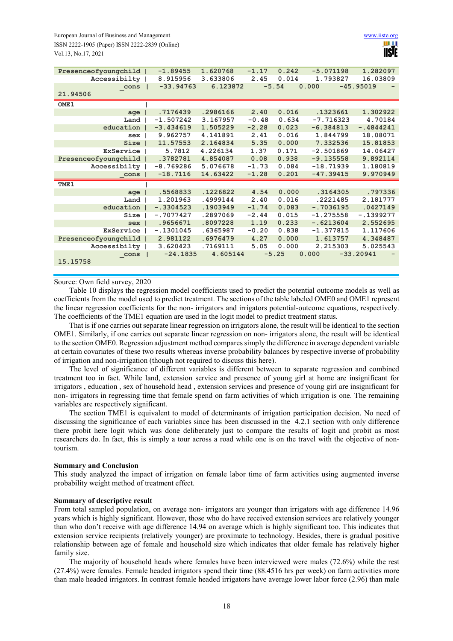| Presenceofyoungchild |                | $-1.89455$  | 1.620768 | $-1.17$ | 0.242   | $-5.071198$ | 1.282097    |
|----------------------|----------------|-------------|----------|---------|---------|-------------|-------------|
| Accessibilty         |                | 8.915956    | 3.633806 | 2.45    | 0.014   | 1.793827    | 16.03809    |
| cons                 |                | $-33.94763$ | 6.123872 |         | $-5.54$ | 0.000       | $-45.95019$ |
| 21.94506             |                |             |          |         |         |             |             |
| OME <sub>1</sub>     |                |             |          |         |         |             |             |
| $age$                |                | .7176439    | .2986166 | 2.40    | 0.016   | .1323661    | 1.302922    |
| Land                 |                | $-1.507242$ | 3.167957 | $-0.48$ | 0.634   | $-7.716323$ | 4.70184     |
| education            |                | $-3.434619$ | 1.505229 | $-2.28$ | 0.023   | $-6.384813$ | $-.4844241$ |
| sex                  |                | 9.962757    | 4.141891 | 2.41    | 0.016   | 1.844799    | 18.08071    |
| Size                 |                | 11.57553    | 2.164834 | 5.35    | 0.000   | 7.332536    | 15.81853    |
| ExService            |                | 5.7812      | 4.226134 | 1.37    | 0.171   | $-2.501869$ | 14.06427    |
| Presenceofyoungchild |                | .3782781    | 4.854087 | 0.08    | 0.938   | $-9.135558$ | 9.892114    |
| Accessibilty         |                | $-8.769286$ | 5.076678 | $-1.73$ | 0.084   | $-18.71939$ | 1.180819    |
| cons                 |                | $-18.7116$  | 14.63422 | $-1.28$ | 0.201   | $-47.39415$ | 9.970949    |
| TME <sub>1</sub>     |                |             |          |         |         |             |             |
| $age$                |                | .5568833    | .1226822 | 4.54    | 0.000   | .3164305    | .797336     |
| Land                 |                | 1.201963    | .4999144 | 2.40    | 0.016   | .2221485    | 2.181777    |
| education            |                | $-.3304523$ | .1903949 | $-1.74$ | 0.083   | $-.7036195$ | .0427149    |
| Size                 |                | $-.7077427$ | .2897069 | $-2.44$ | 0.015   | $-1.275558$ | $-.1399277$ |
| sex                  |                | .9656671    | .8097228 | 1.19    | 0.233   | $-.6213604$ | 2.552695    |
| ExService            |                | $-.1301045$ | .6365987 | $-0.20$ | 0.838   | $-1.377815$ | 1.117606    |
| Presenceofyoungchild |                | 2.981122    | .6976479 | 4.27    | 0.000   | 1.613757    | 4.348487    |
| Accessibilty         |                | 3.620423    | .7169111 | 5.05    | 0.000   | 2.215303    | 5.025543    |
| cons                 | $\blacksquare$ | $-24.1835$  | 4.605144 |         | $-5.25$ | 0.000       | $-33.20941$ |
| 15.15758             |                |             |          |         |         |             |             |
|                      |                |             |          |         |         |             |             |

#### Source: Own field survey, 2020

Table 10 displays the regression model coefficients used to predict the potential outcome models as well as coefficients from the model used to predict treatment. The sections of the table labeled OME0 and OME1 represent the linear regression coefficients for the non- irrigators and irrigators potential-outcome equations, respectively. The coefficients of the TME1 equation are used in the logit model to predict treatment status.

That is if one carries out separate linear regression on irrigators alone, the result will be identical to the section OME1. Similarly, if one carries out separate linear regression on non- irrigators alone, the result will be identical to the section OME0. Regression adjustment method compares simply the difference in average dependent variable at certain covariates of these two results whereas inverse probability balances by respective inverse of probability of irrigation and non-irrigation (though not required to discuss this here).

The level of significance of different variables is different between to separate regression and combined treatment too in fact. While land, extension service and presence of young girl at home are insignificant for irrigators , education , sex of household head , extension services and presence of young girl are insignificant for non- irrigators in regressing time that female spend on farm activities of which irrigation is one. The remaining variables are respectively significant.

The section TME1 is equivalent to model of determinants of irrigation participation decision. No need of discussing the significance of each variables since has been discussed in the 4.2.1 section with only difference there probit here logit which was done deliberately just to compare the results of logit and probit as most researchers do. In fact, this is simply a tour across a road while one is on the travel with the objective of nontourism.

#### **Summary and Conclusion**

This study analyzed the impact of irrigation on female labor time of farm activities using augmented inverse probability weight method of treatment effect.

#### **Summary of descriptive result**

From total sampled population, on average non- irrigators are younger than irrigators with age difference 14.96 years which is highly significant. However, those who do have received extension services are relatively younger than who don't receive with age difference 14.94 on average which is highly significant too. This indicates that extension service recipients (relatively younger) are proximate to technology. Besides, there is gradual positive relationship between age of female and household size which indicates that older female has relatively higher family size.

The majority of household heads where females have been interviewed were males (72.6%) while the rest (27.4%) were females. Female headed irrigators spend their time (88.4516 hrs per week) on farm activities more than male headed irrigators. In contrast female headed irrigators have average lower labor force (2.96) than male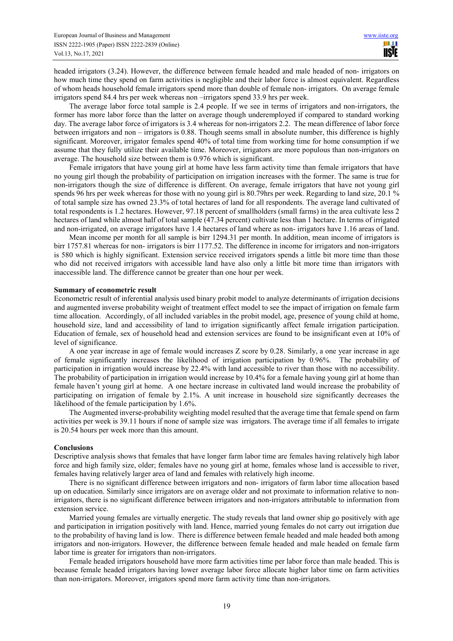headed irrigators (3.24). However, the difference between female headed and male headed of non- irrigators on how much time they spend on farm activities is negligible and their labor force is almost equivalent. Regardless of whom heads household female irrigators spend more than double of female non- irrigators. On average female irrigators spend 84.4 hrs per week whereas non –irrigators spend 33.9 hrs per week.

The average labor force total sample is 2.4 people. If we see in terms of irrigators and non-irrigators, the former has more labor force than the latter on average though underemployed if compared to standard working day. The average labor force of irrigators is 3.4 whereas for non-irrigators 2.2. The mean difference of labor force between irrigators and non – irrigators is 0.88. Though seems small in absolute number, this difference is highly significant. Moreover, irrigator females spend 40% of total time from working time for home consumption if we assume that they fully utilize their available time. Moreover, irrigators are more populous than non-irrigators on average. The household size between them is 0.976 which is significant.

Female irrigators that have young girl at home have less farm activity time than female irrigators that have no young girl though the probability of participation on irrigation increases with the former. The same is true for non-irrigators though the size of difference is different. On average, female irrigators that have not young girl spends 96 hrs per week whereas for those with no young girl is 80.79hrs per week. Regarding to land size, 20.1 % of total sample size has owned 23.3% of total hectares of land for all respondents. The average land cultivated of total respondents is 1.2 hectares. However, 97.18 percent of smallholders (small farms) in the area cultivate less 2 hectares of land while almost half of total sample (47.34 percent) cultivate less than 1 hectare. In terms of irrigated and non-irrigated, on average irrigators have 1.4 hectares of land where as non- irrigators have 1.16 areas of land.

Mean income per month for all sample is birr 1294.31 per month. In addition, mean income of irrigators is birr 1757.81 whereas for non- irrigators is birr 1177.52. The difference in income for irrigators and non-irrigators is 580 which is highly significant. Extension service received irrigators spends a little bit more time than those who did not received irrigators with accessible land have also only a little bit more time than irrigators with inaccessible land. The difference cannot be greater than one hour per week.

#### **Summary of econometric result**

Econometric result of inferential analysis used binary probit model to analyze determinants of irrigation decisions and augmented inverse probability weight of treatment effect model to see the impact of irrigation on female farm time allocation. Accordingly, of all included variables in the probit model, age, presence of young child at home, household size, land and accessibility of land to irrigation significantly affect female irrigation participation. Education of female, sex of household head and extension services are found to be insignificant even at 10% of level of significance.

A one year increase in age of female would increases Z score by 0.28. Similarly, a one year increase in age of female significantly increases the likelihood of irrigation participation by 0.96%. The probability of participation in irrigation would increase by 22.4% with land accessible to river than those with no accessibility. The probability of participation in irrigation would increase by 10.4% for a female having young girl at home than female haven't young girl at home. A one hectare increase in cultivated land would increase the probability of participating on irrigation of female by 2.1%. A unit increase in household size significantly decreases the likelihood of the female participation by 1.6%.

The Augmented inverse-probability weighting model resulted that the average time that female spend on farm activities per week is 39.11 hours if none of sample size was irrigators. The average time if all females to irrigate is 20.54 hours per week more than this amount.

#### **Conclusions**

Descriptive analysis shows that females that have longer farm labor time are females having relatively high labor force and high family size, older; females have no young girl at home, females whose land is accessible to river, females having relatively larger area of land and females with relatively high income.

There is no significant difference between irrigators and non- irrigators of farm labor time allocation based up on education. Similarly since irrigators are on average older and not proximate to information relative to nonirrigators, there is no significant difference between irrigators and non-irrigators attributable to information from extension service.

Married young females are virtually energetic. The study reveals that land owner ship go positively with age and participation in irrigation positively with land. Hence, married young females do not carry out irrigation due to the probability of having land is low. There is difference between female headed and male headed both among irrigators and non-irrigators. However, the difference between female headed and male headed on female farm labor time is greater for irrigators than non-irrigators.

Female headed irrigators household have more farm activities time per labor force than male headed. This is because female headed irrigators having lower average labor force allocate higher labor time on farm activities than non-irrigators. Moreover, irrigators spend more farm activity time than non-irrigators.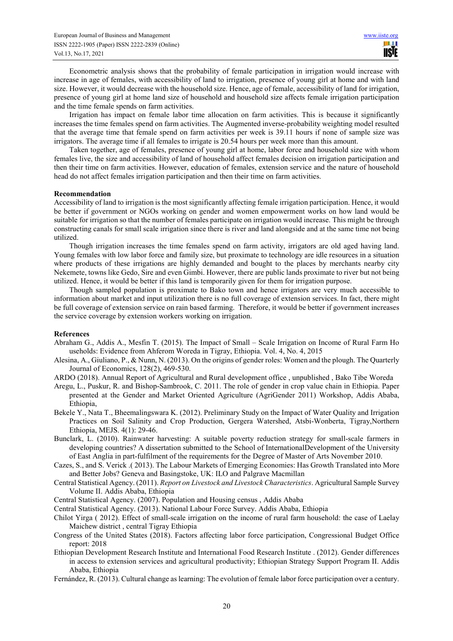Econometric analysis shows that the probability of female participation in irrigation would increase with increase in age of females, with accessibility of land to irrigation, presence of young girl at home and with land size. However, it would decrease with the household size. Hence, age of female, accessibility of land for irrigation, presence of young girl at home land size of household and household size affects female irrigation participation and the time female spends on farm activities.

Irrigation has impact on female labor time allocation on farm activities. This is because it significantly increases the time females spend on farm activities. The Augmented inverse-probability weighting model resulted that the average time that female spend on farm activities per week is 39.11 hours if none of sample size was irrigators. The average time if all females to irrigate is 20.54 hours per week more than this amount.

Taken together, age of females, presence of young girl at home, labor force and household size with whom females live, the size and accessibility of land of household affect females decision on irrigation participation and then their time on farm activities. However, education of females, extension service and the nature of household head do not affect females irrigation participation and then their time on farm activities.

#### **Recommendation**

Accessibility of land to irrigation is the most significantly affecting female irrigation participation. Hence, it would be better if government or NGOs working on gender and women empowerment works on how land would be suitable for irrigation so that the number of females participate on irrigation would increase. This might be through constructing canals for small scale irrigation since there is river and land alongside and at the same time not being utilized.

Though irrigation increases the time females spend on farm activity, irrigators are old aged having land. Young females with low labor force and family size, but proximate to technology are idle resources in a situation where products of these irrigations are highly demanded and bought to the places by merchants nearby city Nekemete, towns like Gedo, Sire and even Gimbi. However, there are public lands proximate to river but not being utilized. Hence, it would be better if this land is temporarily given for them for irrigation purpose.

Though sampled population is proximate to Bako town and hence irrigators are very much accessible to information about market and input utilization there is no full coverage of extension services. In fact, there might be full coverage of extension service on rain based farming. Therefore, it would be better if government increases the service coverage by extension workers working on irrigation.

#### **References**

- Abraham G., Addis A., Mesfin T. (2015). The Impact of Small Scale Irrigation on Income of Rural Farm Ho useholds: Evidence from Ahferom Woreda in Tigray, Ethiopia. Vol. 4, No. 4, 2015
- Alesina, A., Giuliano, P., & Nunn, N. (2013). On the origins of gender roles: Women and the plough. The Quarterly Journal of Economics, 128(2), 469-530.
- ARDO (2018). Annual Report of Agricultural and Rural development office , unpublished , Bako Tibe Woreda
- Aregu, L., Puskur, R. and Bishop-Sambrook, C. 2011. The role of gender in crop value chain in Ethiopia. Paper presented at the Gender and Market Oriented Agriculture (AgriGender 2011) Workshop, Addis Ababa, Ethiopia,
- Bekele Y., Nata T., Bheemalingswara K. (2012). Preliminary Study on the Impact of Water Quality and Irrigation Practices on Soil Salinity and Crop Production, Gergera Watershed, Atsbi-Wonberta, Tigray,Northern Ethiopia, MEJS. 4(1): 29-46.
- Bunclark, L. (2010). Rainwater harvesting: A suitable poverty reduction strategy for small-scale farmers in developing countries? A dissertation submitted to the School of InternationalDevelopment of the University of East Anglia in part-fulfilment of the requirements for the Degree of Master of Arts November 2010.
- Cazes, S., and S. Verick .( 2013). The Labour Markets of Emerging Economies: Has Growth Translated into More and Better Jobs? Geneva and Basingstoke, UK: ILO and Palgrave Macmillan
- Central Statistical Agency. (2011). *Report on Livestock and Livestock Characteristics*. Agricultural Sample Survey Volume II. Addis Ababa, Ethiopia
- Central Statistical Agency. (2007). Population and Housing census , Addis Ababa
- Central Statistical Agency. (2013). National Labour Force Survey. Addis Ababa, Ethiopia
- Chilot Yirga ( 2012). Effect of small-scale irrigation on the income of rural farm household: the case of Laelay Maichew district , central Tigray Ethiopia
- Congress of the United States (2018). Factors affecting labor force participation, Congressional Budget Office report: 2018
- Ethiopian Development Research Institute and International Food Research Institute . (2012). Gender differences in access to extension services and agricultural productivity; Ethiopian Strategy Support Program II. Addis Ababa, Ethiopia
- Fernández, R. (2013). Cultural change as learning: The evolution of female labor force participation over a century.